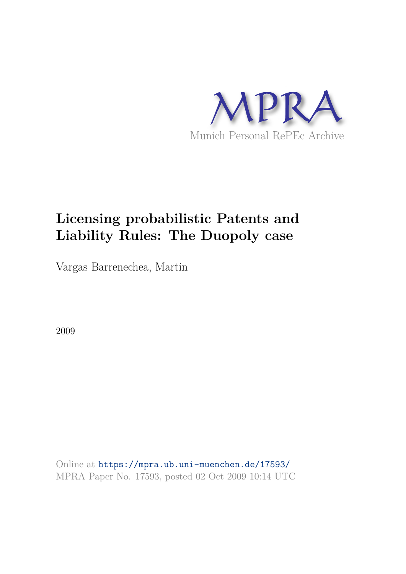

# **Licensing probabilistic Patents and Liability Rules: The Duopoly case**

Vargas Barrenechea, Martin

2009

Online at https://mpra.ub.uni-muenchen.de/17593/ MPRA Paper No. 17593, posted 02 Oct 2009 10:14 UTC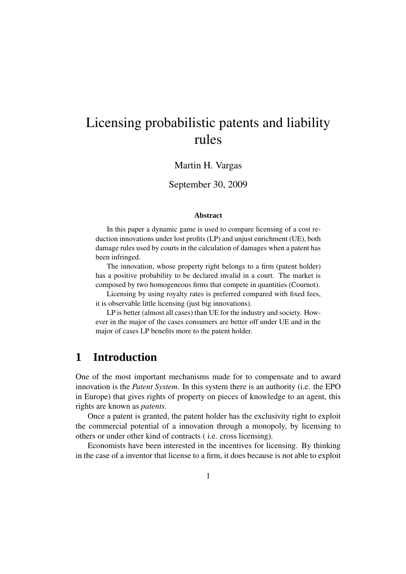# Licensing probabilistic patents and liability rules

#### Martin H. Vargas

#### September 30, 2009

#### **Abstract**

In this paper a dynamic game is used to compare licensing of a cost reduction innovations under lost profits (LP) and unjust enrichment (UE), both damage rules used by courts in the calculation of damages when a patent has been infringed.

The innovation, whose property right belongs to a firm (patent holder) has a positive probability to be declared invalid in a court. The market is composed by two homogeneous firms that compete in quantities (Cournot).

Licensing by using royalty rates is preferred compared with fixed fees, it is observable little licensing (just big innovations).

LP is better (almost all cases) than UE for the industry and society. However in the major of the cases consumers are better off under UE and in the major of cases LP benefits more to the patent holder.

## **1 Introduction**

One of the most important mechanisms made for to compensate and to award innovation is the *Patent System*. In this system there is an authority (i.e. the EPO in Europe) that gives rights of property on pieces of knowledge to an agent, this rights are known as *patents*.

Once a patent is granted, the patent holder has the exclusivity right to exploit the commercial potential of a innovation through a monopoly, by licensing to others or under other kind of contracts ( i.e. cross licensing).

Economists have been interested in the incentives for licensing. By thinking in the case of a inventor that license to a firm, it does because is not able to exploit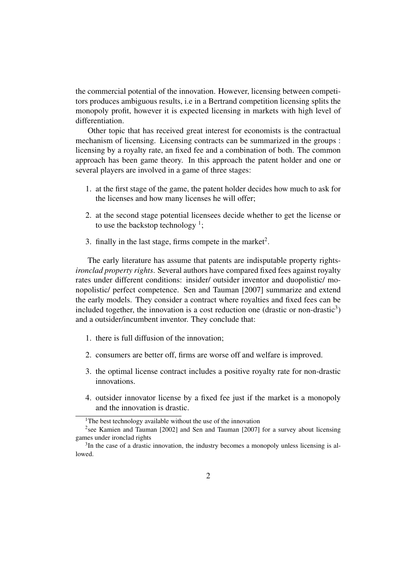the commercial potential of the innovation. However, licensing between competitors produces ambiguous results, i.e in a Bertrand competition licensing splits the monopoly profit, however it is expected licensing in markets with high level of differentiation.

Other topic that has received great interest for economists is the contractual mechanism of licensing. Licensing contracts can be summarized in the groups : licensing by a royalty rate, an fixed fee and a combination of both. The common approach has been game theory. In this approach the patent holder and one or several players are involved in a game of three stages:

- 1. at the first stage of the game, the patent holder decides how much to ask for the licenses and how many licenses he will offer;
- 2. at the second stage potential licensees decide whether to get the license or to use the backstop technology<sup>1</sup>;
- 3. finally in the last stage, firms compete in the market<sup>2</sup>.

The early literature has assume that patents are indisputable property rights*ironclad property rights*. Several authors have compared fixed fees against royalty rates under different conditions: insider/ outsider inventor and duopolistic/ monopolistic/ perfect competence. Sen and Tauman [2007] summarize and extend the early models. They consider a contract where royalties and fixed fees can be included together, the innovation is a cost reduction one (drastic or non-drastic<sup>3</sup>) and a outsider/incumbent inventor. They conclude that:

- 1. there is full diffusion of the innovation;
- 2. consumers are better off, firms are worse off and welfare is improved.
- 3. the optimal license contract includes a positive royalty rate for non-drastic innovations.
- 4. outsider innovator license by a fixed fee just if the market is a monopoly and the innovation is drastic.

<sup>&</sup>lt;sup>1</sup>The best technology available without the use of the innovation

<sup>&</sup>lt;sup>2</sup>see Kamien and Tauman [2002] and Sen and Tauman [2007] for a survey about licensing games under ironclad rights

 $3$ In the case of a drastic innovation, the industry becomes a monopoly unless licensing is allowed.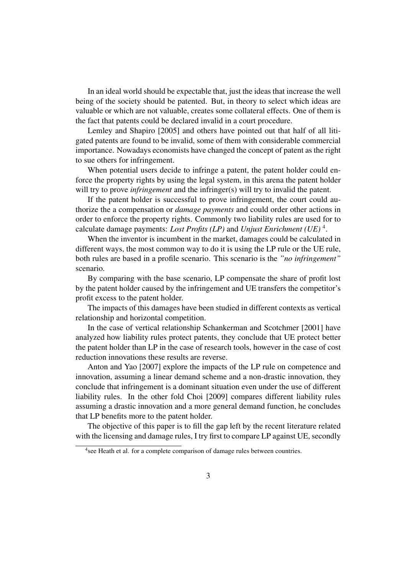In an ideal world should be expectable that, just the ideas that increase the well being of the society should be patented. But, in theory to select which ideas are valuable or which are not valuable, creates some collateral effects. One of them is the fact that patents could be declared invalid in a court procedure.

Lemley and Shapiro [2005] and others have pointed out that half of all litigated patents are found to be invalid, some of them with considerable commercial importance. Nowadays economists have changed the concept of patent as the right to sue others for infringement.

When potential users decide to infringe a patent, the patent holder could enforce the property rights by using the legal system, in this arena the patent holder will try to prove *infringement* and the infringer(s) will try to invalid the patent.

If the patent holder is successful to prove infringement, the court could authorize the a compensation or *damage payments* and could order other actions in order to enforce the property rights. Commonly two liability rules are used for to calculate damage payments: *Lost Profits (LP)* and *Unjust Enrichment (UE)* <sup>4</sup> .

When the inventor is incumbent in the market, damages could be calculated in different ways, the most common way to do it is using the LP rule or the UE rule, both rules are based in a profile scenario. This scenario is the *"no infringement"* scenario.

By comparing with the base scenario, LP compensate the share of profit lost by the patent holder caused by the infringement and UE transfers the competitor's profit excess to the patent holder.

The impacts of this damages have been studied in different contexts as vertical relationship and horizontal competition.

In the case of vertical relationship Schankerman and Scotchmer [2001] have analyzed how liability rules protect patents, they conclude that UE protect better the patent holder than LP in the case of research tools, however in the case of cost reduction innovations these results are reverse.

Anton and Yao [2007] explore the impacts of the LP rule on competence and innovation, assuming a linear demand scheme and a non-drastic innovation, they conclude that infringement is a dominant situation even under the use of different liability rules. In the other fold Choi [2009] compares different liability rules assuming a drastic innovation and a more general demand function, he concludes that LP benefits more to the patent holder.

The objective of this paper is to fill the gap left by the recent literature related with the licensing and damage rules, I try first to compare LP against UE, secondly

<sup>&</sup>lt;sup>4</sup> see Heath et al. for a complete comparison of damage rules between countries.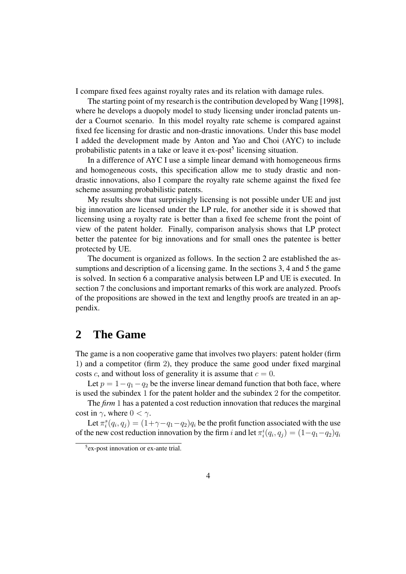I compare fixed fees against royalty rates and its relation with damage rules.

The starting point of my research is the contribution developed by Wang [1998], where he develops a duopoly model to study licensing under ironclad patents under a Cournot scenario. In this model royalty rate scheme is compared against fixed fee licensing for drastic and non-drastic innovations. Under this base model I added the development made by Anton and Yao and Choi (AYC) to include probabilistic patents in a take or leave it ex-post<sup>5</sup> licensing situation.

In a difference of AYC I use a simple linear demand with homogeneous firms and homogeneous costs, this specification allow me to study drastic and nondrastic innovations, also I compare the royalty rate scheme against the fixed fee scheme assuming probabilistic patents.

My results show that surprisingly licensing is not possible under UE and just big innovation are licensed under the LP rule, for another side it is showed that licensing using a royalty rate is better than a fixed fee scheme front the point of view of the patent holder. Finally, comparison analysis shows that LP protect better the patentee for big innovations and for small ones the patentee is better protected by UE.

The document is organized as follows. In the section 2 are established the assumptions and description of a licensing game. In the sections 3, 4 and 5 the game is solved. In section 6 a comparative analysis between LP and UE is executed. In section 7 the conclusions and important remarks of this work are analyzed. Proofs of the propositions are showed in the text and lengthy proofs are treated in an appendix.

#### **2 The Game**

The game is a non cooperative game that involves two players: patent holder (firm 1) and a competitor (firm 2), they produce the same good under fixed marginal costs c, and without loss of generality it is assume that  $c = 0$ .

Let  $p = 1 - q_1 - q_2$  be the inverse linear demand function that both face, where is used the subindex 1 for the patent holder and the subindex 2 for the competitor.

The *firm* 1 has a patented a cost reduction innovation that reduces the marginal cost in  $\gamma$ , where  $0 < \gamma$ .

Let  $\pi_i^s(q_i, q_j) = (1 + \gamma - q_1 - q_2)q_i$  be the profit function associated with the use of the new cost reduction innovation by the firm i and let  $\pi_i^i(q_i, q_j) = (1 - q_1 - q_2)q_i$ 

<sup>5</sup> ex-post innovation or ex-ante trial.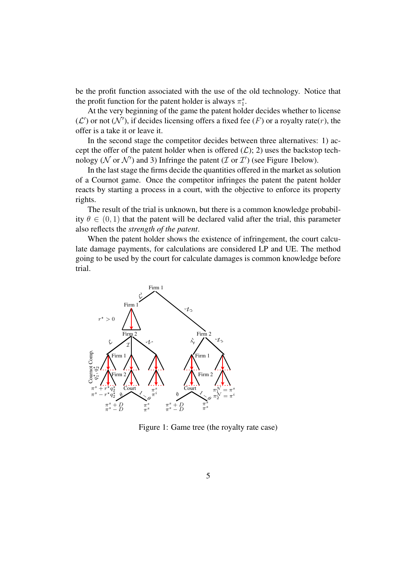be the profit function associated with the use of the old technology. Notice that the profit function for the patent holder is always  $\pi_1^s$ .

At the very beginning of the game the patent holder decides whether to license  $(\mathcal{L}')$  or not  $(\mathcal{N}')$ , if decides licensing offers a fixed fee  $(F)$  or a royalty rate $(r)$ , the offer is a take it or leave it.

In the second stage the competitor decides between three alternatives: 1) accept the offer of the patent holder when is offered  $(\mathcal{L})$ ; 2) uses the backstop technology ( $N$  or  $N'$ ) and 3) Infringe the patent ( $\mathcal I$  or  $\mathcal I'$ ) (see Figure 1below).

In the last stage the firms decide the quantities offered in the market as solution of a Cournot game. Once the competitor infringes the patent the patent holder reacts by starting a process in a court, with the objective to enforce its property rights.

The result of the trial is unknown, but there is a common knowledge probability  $\theta \in (0, 1)$  that the patent will be declared valid after the trial, this parameter also reflects the *strength of the patent*.

When the patent holder shows the existence of infringement, the court calculate damage payments, for calculations are considered LP and UE. The method going to be used by the court for calculate damages is common knowledge before trial.



Figure 1: Game tree (the royalty rate case)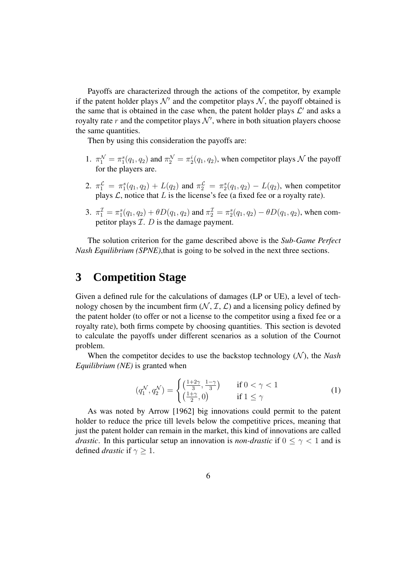Payoffs are characterized through the actions of the competitor, by example if the patent holder plays  $\mathcal{N}'$  and the competitor plays  $\mathcal{N}$ , the payoff obtained is the same that is obtained in the case when, the patent holder plays  $\mathcal{L}'$  and asks a royalty rate r and the competitor plays  $\mathcal{N}'$ , where in both situation players choose the same quantities.

Then by using this consideration the payoffs are:

- 1.  $\pi_1^{\mathcal{N}} = \pi_1^s(q_1, q_2)$  and  $\pi_2^{\mathcal{N}} = \pi_2^i(q_1, q_2)$ , when competitor plays  $\mathcal{N}$  the payoff for the players are.
- 2.  $\pi_1^{\mathcal{L}} = \pi_1^s(q_1, q_2) + L(q_2)$  and  $\pi_2^{\mathcal{L}} = \pi_2^s(q_1, q_2) L(q_2)$ , when competitor plays  $\mathcal{L}$ , notice that  $L$  is the license's fee (a fixed fee or a royalty rate).
- 3.  $\pi_1^{\mathcal{I}} = \pi_1^s(q_1, q_2) + \theta D(q_1, q_2)$  and  $\pi_2^{\mathcal{I}} = \pi_2^s(q_1, q_2) \theta D(q_1, q_2)$ , when competitor plays  $\mathcal{I}$ .  $D$  is the damage payment.

The solution criterion for the game described above is the *Sub-Game Perfect Nash Equilibrium (SPNE)*, that is going to be solved in the next three sections.

#### **3 Competition Stage**

Given a defined rule for the calculations of damages (LP or UE), a level of technology chosen by the incumbent firm  $(N, \mathcal{I}, \mathcal{L})$  and a licensing policy defined by the patent holder (to offer or not a license to the competitor using a fixed fee or a royalty rate), both firms compete by choosing quantities. This section is devoted to calculate the payoffs under different scenarios as a solution of the Cournot problem.

When the competitor decides to use the backstop technology  $(N)$ , the *Nash Equilibrium (NE)* is granted when

$$
(q_1^{\mathcal{N}}, q_2^{\mathcal{N}}) = \begin{cases} \left(\frac{1+2\gamma}{3}, \frac{1-\gamma}{3}\right) & \text{if } 0 < \gamma < 1\\ \left(\frac{1+\gamma}{2}, 0\right) & \text{if } 1 \le \gamma \end{cases}
$$
 (1)

As was noted by Arrow [1962] big innovations could permit to the patent holder to reduce the price till levels below the competitive prices, meaning that just the patent holder can remain in the market, this kind of innovations are called *drastic*. In this particular setup an innovation is *non-drastic* if  $0 \leq \gamma < 1$  and is defined *drastic* if  $\gamma \geq 1$ .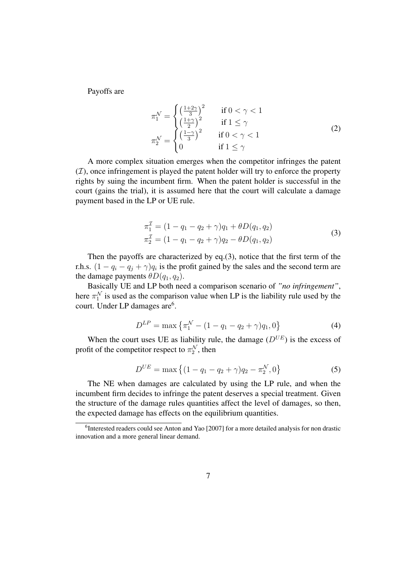Payoffs are

$$
\pi_1^{\mathcal{N}} = \begin{cases}\n\left(\frac{1+2\gamma}{3}\right)^2 & \text{if } 0 < \gamma < 1 \\
\left(\frac{1+\gamma}{2}\right)^2 & \text{if } 1 \le \gamma \\
\left(\frac{1-\gamma}{3}\right)^2 & \text{if } 0 < \gamma < 1\n\end{cases}
$$
\n
$$
\pi_2^{\mathcal{N}} = \begin{cases}\n\left(\frac{1-\gamma}{3}\right)^2 & \text{if } 0 < \gamma < 1 \\
0 & \text{if } 1 \le \gamma\n\end{cases}
$$
\n(2)

A more complex situation emerges when the competitor infringes the patent  $(\mathcal{I})$ , once infringement is played the patent holder will try to enforce the property rights by suing the incumbent firm. When the patent holder is successful in the court (gains the trial), it is assumed here that the court will calculate a damage payment based in the LP or UE rule.

$$
\pi_1^2 = (1 - q_1 - q_2 + \gamma)q_1 + \theta D(q_1, q_2)
$$
  
\n
$$
\pi_2^T = (1 - q_1 - q_2 + \gamma)q_2 - \theta D(q_1, q_2)
$$
\n(3)

Then the payoffs are characterized by eq.(3), notice that the first term of the r.h.s.  $(1 - q_i - q_j + \gamma)q_i$  is the profit gained by the sales and the second term are the damage payments  $\theta D(q_1, q_2)$ .

Basically UE and LP both need a comparison scenario of *"no infringement"*, here  $\pi_1^N$  is used as the comparison value when LP is the liability rule used by the court. Under LP damages are<sup>6</sup>.

$$
D^{LP} = \max \left\{ \pi_1^{\mathcal{N}} - (1 - q_1 - q_2 + \gamma) q_1, 0 \right\}
$$
 (4)

When the court uses UE as liability rule, the damage  $(D^{UE})$  is the excess of profit of the competitor respect to  $\pi_2^{\mathcal{N}}$ , then

$$
D^{UE} = \max\left\{ (1 - q_1 - q_2 + \gamma) q_2 - \pi_2^{\mathcal{N}}, 0 \right\}
$$
 (5)

The NE when damages are calculated by using the LP rule, and when the incumbent firm decides to infringe the patent deserves a special treatment. Given the structure of the damage rules quantities affect the level of damages, so then, the expected damage has effects on the equilibrium quantities.

<sup>&</sup>lt;sup>6</sup>Interested readers could see Anton and Yao [2007] for a more detailed analysis for non drastic innovation and a more general linear demand.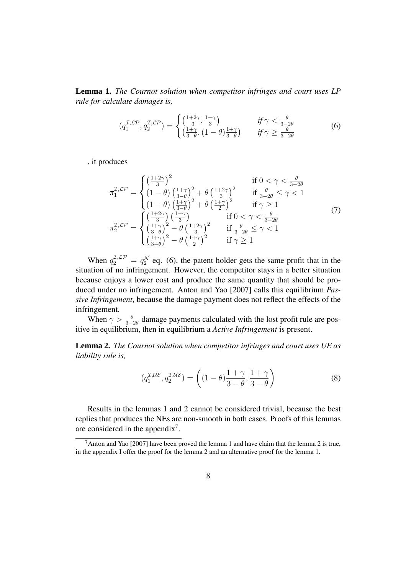**Lemma 1.** *The Cournot solution when competitor infringes and court uses LP rule for calculate damages is,*

$$
(q_1^{\mathcal{I},\mathcal{LP}}, q_2^{\mathcal{I},\mathcal{LP}}) = \begin{cases} \left(\frac{1+2\gamma}{3}, \frac{1-\gamma}{3}\right) & \text{if } \gamma < \frac{\theta}{3-2\theta} \\ \left(\frac{1+\gamma}{3-\theta}, (1-\theta)\frac{1+\gamma}{3-\theta}\right) & \text{if } \gamma \ge \frac{\theta}{3-2\theta} \end{cases}
$$
(6)

, it produces

$$
\pi_1^{\mathcal{I},\mathcal{LP}} = \begin{cases}\n\left(\frac{1+2\gamma}{3}\right)^2 & \text{if } 0 < \gamma < \frac{\theta}{3-2\theta} \\
\left(1-\theta\right)\left(\frac{1+\gamma}{3-\theta}\right)^2 + \theta\left(\frac{1+2\gamma}{3}\right)^2 & \text{if } \frac{\theta}{3-2\theta} \le \gamma < 1 \\
\left(1-\theta\right)\left(\frac{1+\gamma}{3-\theta}\right)^2 + \theta\left(\frac{1+\gamma}{2}\right)^2 & \text{if } \gamma \ge 1 \\
\left(\frac{1+2\gamma}{3}\right)\left(\frac{1-\gamma}{3}\right) & \text{if } 0 < \gamma < \frac{\theta}{3-2\theta} \\
\left(\frac{1+\gamma}{3-\theta}\right)^2 - \theta\left(\frac{1+2\gamma}{3}\right)^2 & \text{if } \frac{\theta}{3-2\theta} \le \gamma < 1 \\
\left(\frac{1+\gamma}{3-\theta}\right)^2 - \theta\left(\frac{1+\gamma}{2}\right)^2 & \text{if } \gamma \ge 1\n\end{cases}\n\tag{7}
$$

When  $q_2^{\mathcal{I},\mathcal{LP}} = q_2^{\mathcal{N}}$  eq. (6), the patent holder gets the same profit that in the situation of no infringement. However, the competitor stays in a better situation because enjoys a lower cost and produce the same quantity that should be produced under no infringement. Anton and Yao [2007] calls this equilibrium *Passive Infringement*, because the damage payment does not reflect the effects of the infringement.

When  $\gamma > \frac{\theta}{3-2\theta}$  damage payments calculated with the lost profit rule are positive in equilibrium, then in equilibrium a *Active Infringement* is present.

**Lemma 2.** *The Cournot solution when competitor infringes and court uses UE as liability rule is,*

$$
(q_1^{\mathcal{I},\mathcal{UE}}, q_2^{\mathcal{I},\mathcal{UE}}) = \left( (1-\theta) \frac{1+\gamma}{3-\theta}, \frac{1+\gamma}{3-\theta} \right) \tag{8}
$$

Results in the lemmas 1 and 2 cannot be considered trivial, because the best replies that produces the NEs are non-smooth in both cases. Proofs of this lemmas are considered in the appendix<sup>7</sup>.

 $7$ Anton and Yao [2007] have been proved the lemma 1 and have claim that the lemma 2 is true, in the appendix I offer the proof for the lemma 2 and an alternative proof for the lemma 1.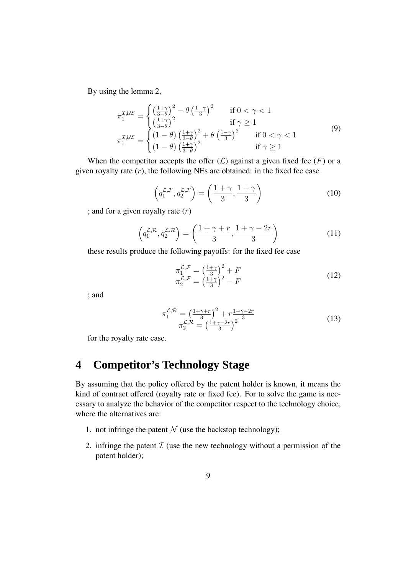By using the lemma 2,

$$
\pi_1^{\mathcal{I},\mathcal{UE}} = \begin{cases}\n\left(\frac{1+\gamma}{3-\theta}\right)^2 - \theta \left(\frac{1-\gamma}{3}\right)^2 & \text{if } 0 < \gamma < 1 \\
\left(\frac{1+\gamma}{3-\theta}\right)^2 & \text{if } \gamma \ge 1 \\
\pi_1^{\mathcal{I},\mathcal{UE}} = \begin{cases}\n(1-\theta) \left(\frac{1+\gamma}{3-\theta}\right)^2 + \theta \left(\frac{1-\gamma}{3}\right)^2 & \text{if } 0 < \gamma < 1 \\
(1-\theta) \left(\frac{1+\gamma}{3-\theta}\right)^2 & \text{if } \gamma \ge 1\n\end{cases}\n\end{cases}\n\tag{9}
$$

When the competitor accepts the offer  $(L)$  against a given fixed fee  $(F)$  or a given royalty rate  $(r)$ , the following NEs are obtained: in the fixed fee case

$$
\left(q_1^{\mathcal{L},\mathcal{F}}, q_2^{\mathcal{L},\mathcal{F}}\right) = \left(\frac{1+\gamma}{3}, \frac{1+\gamma}{3}\right) \tag{10}
$$

; and for a given royalty rate  $(r)$ 

$$
\left(q_1^{\mathcal{L},\mathcal{R}}, q_2^{\mathcal{L},\mathcal{R}}\right) = \left(\frac{1+\gamma+r}{3}, \frac{1+\gamma-2r}{3}\right) \tag{11}
$$

these results produce the following payoffs: for the fixed fee case

$$
\pi_1^{\mathcal{L},\mathcal{F}} = \left(\frac{1+\gamma}{3}\right)^2 + F
$$
  
\n
$$
\pi_2^{\mathcal{L},\mathcal{F}} = \left(\frac{1+\gamma}{3}\right)^2 - F
$$
\n(12)

; and

$$
\pi_1^{\mathcal{L}, \mathcal{R}} = \left(\frac{1 + \gamma + r}{3}\right)^2 + r \frac{1 + \gamma - 2r}{3}
$$
\n
$$
\pi_2^{\mathcal{L}, \mathcal{R}} = \left(\frac{1 + \gamma - 2r}{3}\right)^2 \tag{13}
$$

for the royalty rate case.

## **4 Competitor's Technology Stage**

By assuming that the policy offered by the patent holder is known, it means the kind of contract offered (royalty rate or fixed fee). For to solve the game is necessary to analyze the behavior of the competitor respect to the technology choice, where the alternatives are:

- 1. not infringe the patent  $N$  (use the backstop technology);
- 2. infringe the patent  $\mathcal I$  (use the new technology without a permission of the patent holder);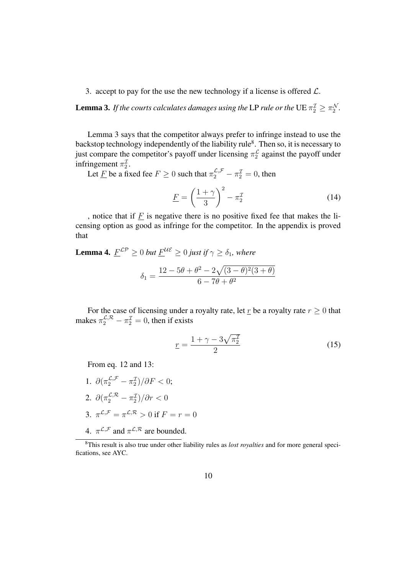3. accept to pay for the use the new technology if a license is offered  $\mathcal{L}$ .

**Lemma 3.** If the courts calculates damages using the LP rule or the  $\text{UE} \, \pi_2^{\mathcal{I}} \geq \pi_2^{\mathcal{N}}$ .

Lemma 3 says that the competitor always prefer to infringe instead to use the backstop technology independently of the liability rule<sup>8</sup>. Then so, it is necessary to just compare the competitor's payoff under licensing  $\pi_2^{\mathcal{L}}$  against the payoff under infringement  $\pi_2^2$ .

Let  $\underline{F}$  be a fixed fee  $F \ge 0$  such that  $\pi_2^{\mathcal{L},\mathcal{F}} - \pi_2^{\mathcal{I}} = 0$ , then

$$
\underline{F} = \left(\frac{1+\gamma}{3}\right)^2 - \pi_2^{\mathcal{I}} \tag{14}
$$

, notice that if  $E$  is negative there is no positive fixed fee that makes the licensing option as good as infringe for the competitor. In the appendix is proved that

**Lemma 4.**  $\underline{F}^{LP} \geq 0$  *but*  $\underline{F}^{UE} \geq 0$  *just if*  $\gamma \geq \delta_1$ *, where* 

$$
\delta_1 = \frac{12 - 5\theta + \theta^2 - 2\sqrt{(3 - \theta)^2(3 + \theta)}}{6 - 7\theta + \theta^2}
$$

For the case of licensing under a royalty rate, let  $\underline{r}$  be a royalty rate  $r \geq 0$  that makes  $\pi_2^{\mathcal{L}, \mathcal{R}} - \pi_2^{\mathcal{I}} = 0$ , then if exists

$$
\underline{r} = \frac{1 + \gamma - 3\sqrt{\pi_2^2}}{2} \tag{15}
$$

From eq. 12 and 13:

- 1.  $\partial(\pi_2^{\mathcal{L},\mathcal{F}} \pi_2^{\mathcal{I}})/\partial F < 0;$ 2.  $\partial(\pi_2^{\mathcal{L},\mathcal{R}}-\pi_2^{\mathcal{I}})/\partial r < 0$ 3.  $\pi^{\mathcal{L},\mathcal{F}} = \pi^{\mathcal{L},\mathcal{R}} > 0$  if  $F = r = 0$
- 4.  $\pi^{\mathcal{L},\mathcal{F}}$  and  $\pi^{\mathcal{L},\mathcal{R}}$  are bounded.

<sup>8</sup>This result is also true under other liability rules as *lost royalties* and for more general specifications, see AYC.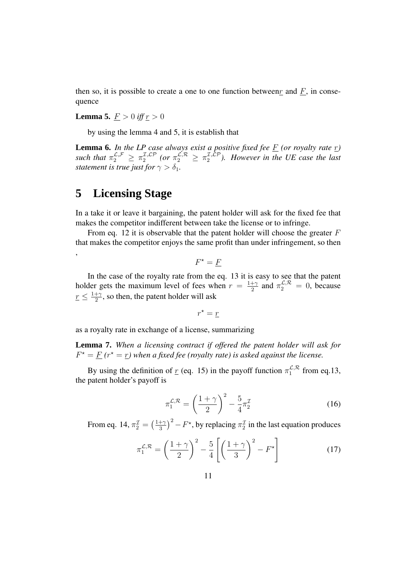then so, it is possible to create a one to one function between  $\underline{r}$  and  $\underline{F}$ , in consequence

**Lemma 5.**  $F > 0$  *iff*  $r > 0$ 

by using the lemma 4 and 5, it is establish that

**Lemma 6.** In the LP case always exist a positive fixed fee  $\underline{F}$  (or royalty rate  $\underline{r}$ ) such that  $\pi_2^{\mathcal{L},\mathcal{F}} \geq \pi_2^{\mathcal{I},\mathcal{LP}}$  (or  $\pi_2^{\mathcal{L},\mathcal{R}} \geq \pi_2^{\mathcal{I},\mathcal{LP}}$ ). However in the UE case the last *statement is true just for*  $\gamma > \delta_1$ *.* 

## **5 Licensing Stage**

,

In a take it or leave it bargaining, the patent holder will ask for the fixed fee that makes the competitor indifferent between take the license or to infringe.

From eq. 12 it is observable that the patent holder will choose the greater  $F$ that makes the competitor enjoys the same profit than under infringement, so then

 $F^* = \underline{F}$ 

In the case of the royalty rate from the eq. 13 it is easy to see that the patent holder gets the maximum level of fees when  $r = \frac{1+\gamma}{2}$  $\frac{1+\gamma}{2}$  and  $\pi_2^{\mathcal{L},\mathcal{R}} = 0$ , because  $\underline{r} \leq \frac{1+\gamma}{2}$  $\frac{+ \gamma}{2}$ , so then, the patent holder will ask

$$
r^* = \underline{r}
$$

as a royalty rate in exchange of a license, summarizing

**Lemma 7.** *When a licensing contract if offered the patent holder will ask for*  $F^* = \underline{F}$  ( $r^* = \underline{r}$ ) when a fixed fee (royalty rate) is asked against the license.

By using the definition of  $\underline{r}$  (eq. 15) in the payoff function  $\pi_1^{\mathcal{L}, \mathcal{R}}$  from eq.13, the patent holder's payoff is

$$
\pi_1^{\mathcal{L},\mathcal{R}} = \left(\frac{1+\gamma}{2}\right)^2 - \frac{5}{4}\pi_2^{\mathcal{I}}
$$
\n(16)

From eq. 14,  $\pi_2^{\mathcal{I}} = \left(\frac{1+\gamma}{3}\right)$  $\frac{+\gamma}{3}$ )<sup>2</sup> –  $F^*$ , by replacing  $\pi_2^{\mathcal{I}}$  in the last equation produces

$$
\pi_1^{\mathcal{L},\mathcal{R}} = \left(\frac{1+\gamma}{2}\right)^2 - \frac{5}{4} \left[ \left(\frac{1+\gamma}{3}\right)^2 - F^{\star} \right] \tag{17}
$$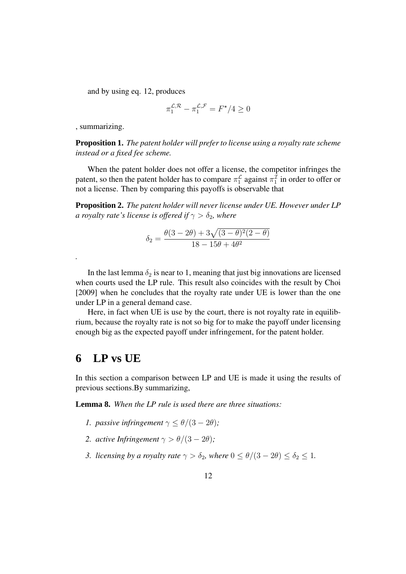and by using eq. 12, produces

$$
\pi_1^{\mathcal{L},\mathcal{R}} - \pi_1^{\mathcal{L},\mathcal{F}} = F^\star/4 \ge 0
$$

, summarizing.

*.*

**Proposition 1.** *The patent holder will prefer to license using a royalty rate scheme instead or a fixed fee scheme.*

When the patent holder does not offer a license, the competitor infringes the patent, so then the patent holder has to compare  $\pi_1^{\mathcal{L}}$  against  $\pi_1^{\mathcal{L}}$  in order to offer or not a license. Then by comparing this payoffs is observable that

**Proposition 2.** *The patent holder will never license under UE. However under LP a royalty rate's license is offered if*  $\gamma > \delta_2$ *, where* 

$$
\delta_2 = \frac{\theta(3 - 2\theta) + 3\sqrt{(3 - \theta)^2(2 - \theta)}}{18 - 15\theta + 4\theta^2}
$$

In the last lemma  $\delta_2$  is near to 1, meaning that just big innovations are licensed when courts used the LP rule. This result also coincides with the result by Choi [2009] when he concludes that the royalty rate under UE is lower than the one under LP in a general demand case.

Here, in fact when UE is use by the court, there is not royalty rate in equilibrium, because the royalty rate is not so big for to make the payoff under licensing enough big as the expected payoff under infringement, for the patent holder.

#### **6 LP vs UE**

In this section a comparison between LP and UE is made it using the results of previous sections.By summarizing,

**Lemma 8.** *When the LP rule is used there are three situations:*

- *1. passive infringement*  $\gamma \leq \theta/(3 2\theta)$ ;
- *2. active Infringement*  $\gamma > \theta/(3 2\theta)$ ;
- *3. licensing by a royalty rate*  $\gamma > \delta_2$ *, where*  $0 \le \theta/(3 2\theta) \le \delta_2 \le 1$ *.*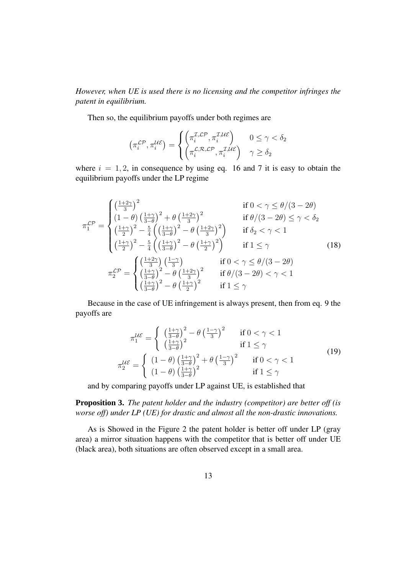*However, when UE is used there is no licensing and the competitor infringes the patent in equilibrium.*

Then so, the equilibrium payoffs under both regimes are

$$
\left(\pi_i^{\mathcal{LP}}, \pi_i^{\mathcal{UE}}\right) = \begin{cases} \left(\pi_i^{\mathcal{I},\mathcal{LP}}, \pi_i^{\mathcal{I},\mathcal{UE}}\right) & 0 \le \gamma < \delta_2\\ \left(\pi_i^{\mathcal{L},\mathcal{R},\mathcal{LP}}, \pi_i^{\mathcal{I},\mathcal{UE}}\right) & \gamma \ge \delta_2 \end{cases}
$$

where  $i = 1, 2$ , in consequence by using eq. 16 and 7 it is easy to obtain the equilibrium payoffs under the LP regime

$$
\pi_1^{\mathcal{LP}} = \begin{cases}\n\left(\frac{1+2\gamma}{3}\right)^2 & \text{if } 0 < \gamma \le \theta/(3-2\theta) \\
\left(1-\theta\right)\left(\frac{1+\gamma}{3-\theta}\right)^2 + \theta\left(\frac{1+2\gamma}{3}\right)^2 & \text{if } \theta/(3-2\theta) \le \gamma < \delta_2 \\
\left(\frac{1+\gamma}{2}\right)^2 - \frac{5}{4}\left(\left(\frac{1+\gamma}{3-\theta}\right)^2 - \theta\left(\frac{1+2\gamma}{3}\right)^2\right) & \text{if } \delta_2 < \gamma < 1 \\
\left(\frac{1+\gamma}{2}\right)^2 - \frac{5}{4}\left(\left(\frac{1+\gamma}{3-\theta}\right)^2 - \theta\left(\frac{1+\gamma}{2}\right)^2\right) & \text{if } 1 \le \gamma \\
\pi_2^{\mathcal{LP}} = \begin{cases}\n\left(\frac{1+2\gamma}{3}\right)\left(\frac{1-\gamma}{3}\right) & \text{if } 0 < \gamma \le \theta/(3-2\theta) \\
\left(\frac{1+\gamma}{3-\theta}\right)^2 - \theta\left(\frac{1+2\gamma}{3}\right)^2 & \text{if } \theta/(3-2\theta) < \gamma < 1 \\
\left(\frac{1+\gamma}{3-\theta}\right)^2 - \theta\left(\frac{1+\gamma}{2}\right)^2 & \text{if } 1 \le \gamma\n\end{cases}\n\end{cases}\n\tag{18}
$$

Because in the case of UE infringement is always present, then from eq. 9 the payoffs are

$$
\pi_1^{\mathcal{UE}} = \begin{cases}\n\left(\frac{1+\gamma}{3-\theta}\right)^2 - \theta \left(\frac{1-\gamma}{3}\right)^2 & \text{if } 0 < \gamma < 1 \\
\left(\frac{1+\gamma}{3-\theta}\right)^2 & \text{if } 1 \le \gamma\n\end{cases}
$$
\n
$$
\pi_2^{\mathcal{UE}} = \begin{cases}\n(1-\theta) \left(\frac{1+\gamma}{3-\theta}\right)^2 + \theta \left(\frac{1-\gamma}{3}\right)^2 & \text{if } 0 < \gamma < 1 \\
(1-\theta) \left(\frac{1+\gamma}{3-\theta}\right)^2 & \text{if } 1 \le \gamma\n\end{cases}
$$
\n(19)

and by comparing payoffs under LP against UE, is established that

**Proposition 3.** *The patent holder and the industry (competitor) are better off (is worse off) under LP (UE) for drastic and almost all the non-drastic innovations.*

As is Showed in the Figure 2 the patent holder is better off under LP (gray area) a mirror situation happens with the competitor that is better off under UE (black area), both situations are often observed except in a small area.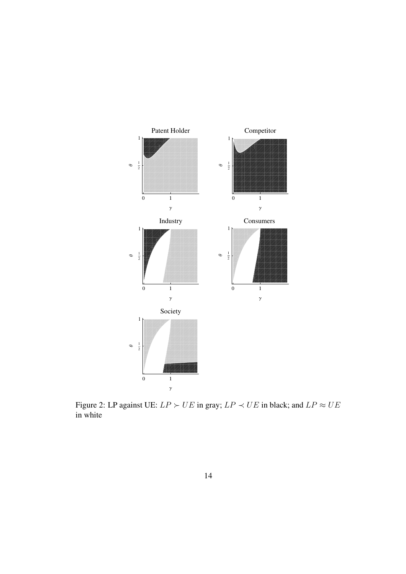

Figure 2: LP against UE:  $LP \succ UE$  in gray;  $LP \prec UE$  in black; and  $LP \approx UE$ in white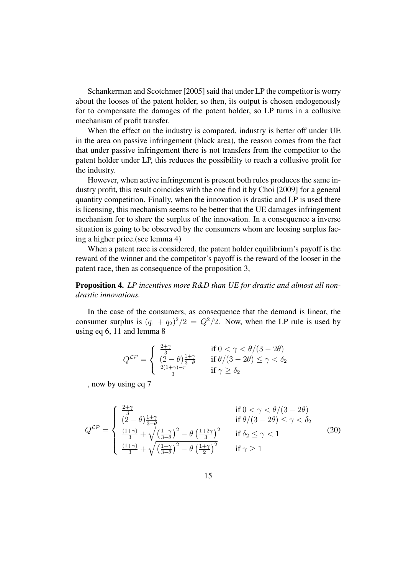Schankerman and Scotchmer [2005] said that under LP the competitor is worry about the looses of the patent holder, so then, its output is chosen endogenously for to compensate the damages of the patent holder, so LP turns in a collusive mechanism of profit transfer.

When the effect on the industry is compared, industry is better off under UE in the area on passive infringement (black area), the reason comes from the fact that under passive infringement there is not transfers from the competitor to the patent holder under LP, this reduces the possibility to reach a collusive profit for the industry.

However, when active infringement is present both rules produces the same industry profit, this result coincides with the one find it by Choi [2009] for a general quantity competition. Finally, when the innovation is drastic and LP is used there is licensing, this mechanism seems to be better that the UE damages infringement mechanism for to share the surplus of the innovation. In a consequence a inverse situation is going to be observed by the consumers whom are loosing surplus facing a higher price.(see lemma 4)

When a patent race is considered, the patent holder equilibrium's payoff is the reward of the winner and the competitor's payoff is the reward of the looser in the patent race, then as consequence of the proposition 3,

**Proposition 4.** *LP incentives more R&D than UE for drastic and almost all nondrastic innovations.*

In the case of the consumers, as consequence that the demand is linear, the consumer surplus is  $(q_1 + q_2)^2/2 = Q^2/2$ . Now, when the LP rule is used by using eq 6, 11 and lemma 8

$$
Q^{\mathcal{LP}} = \begin{cases} \frac{2+\gamma}{3} & \text{if } 0 < \gamma < \theta/(3-2\theta) \\ \frac{(2-\theta)\frac{1+\gamma}{3-\theta}}{3} & \text{if } \theta/(3-2\theta) \le \gamma < \delta_2 \\ \frac{2(1+\gamma)-r}{3} & \text{if } \gamma \ge \delta_2 \end{cases}
$$

, now by using eq 7

$$
Q^{\mathcal{LP}} = \begin{cases} \frac{2+\gamma}{3} & \text{if } 0 < \gamma < \theta/(3-2\theta) \\ \frac{(2-\theta)\frac{1+\gamma}{3-\theta}}{3} & \text{if } \theta/(3-2\theta) \le \gamma < \delta_2 \\ \frac{(1+\gamma)}{3} + \sqrt{\left(\frac{1+\gamma}{3-\theta}\right)^2 - \theta \left(\frac{1+2\gamma}{3}\right)^2} & \text{if } \delta_2 \le \gamma < 1 \\ \frac{(1+\gamma)}{3} + \sqrt{\left(\frac{1+\gamma}{3-\theta}\right)^2 - \theta \left(\frac{1+\gamma}{2}\right)^2} & \text{if } \gamma \ge 1 \end{cases} \tag{20}
$$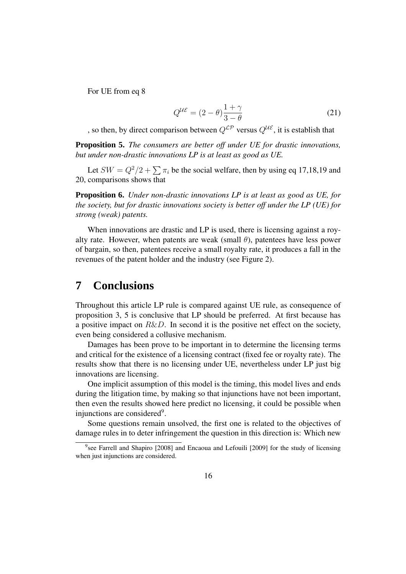For UE from eq 8

$$
Q^{\mathcal{UE}} = (2 - \theta) \frac{1 + \gamma}{3 - \theta} \tag{21}
$$

, so then, by direct comparison between  $Q^{\mathcal{LP}}$  versus  $Q^{\mathcal{UE}}$ , it is establish that

**Proposition 5.** *The consumers are better off under UE for drastic innovations, but under non-drastic innovations LP is at least as good as UE.*

Let  $SW = Q^2/2 + \sum \pi_i$  be the social welfare, then by using eq 17,18,19 and 20, comparisons shows that

**Proposition 6.** *Under non-drastic innovations LP is at least as good as UE, for the society, but for drastic innovations society is better off under the LP (UE) for strong (weak) patents.*

When innovations are drastic and LP is used, there is licensing against a royalty rate. However, when patents are weak (small  $\theta$ ), patentees have less power of bargain, so then, patentees receive a small royalty rate, it produces a fall in the revenues of the patent holder and the industry (see Figure 2).

#### **7 Conclusions**

Throughout this article LP rule is compared against UE rule, as consequence of proposition 3, 5 is conclusive that LP should be preferred. At first because has a positive impact on  $R\&D$ . In second it is the positive net effect on the society, even being considered a collusive mechanism.

Damages has been prove to be important in to determine the licensing terms and critical for the existence of a licensing contract (fixed fee or royalty rate). The results show that there is no licensing under UE, nevertheless under LP just big innovations are licensing.

One implicit assumption of this model is the timing, this model lives and ends during the litigation time, by making so that injunctions have not been important, then even the results showed here predict no licensing, it could be possible when injunctions are considered<sup>9</sup>.

Some questions remain unsolved, the first one is related to the objectives of damage rules in to deter infringement the question in this direction is: Which new

<sup>&</sup>lt;sup>9</sup>see Farrell and Shapiro [2008] and Encaoua and Lefouili [2009] for the study of licensing when just injunctions are considered.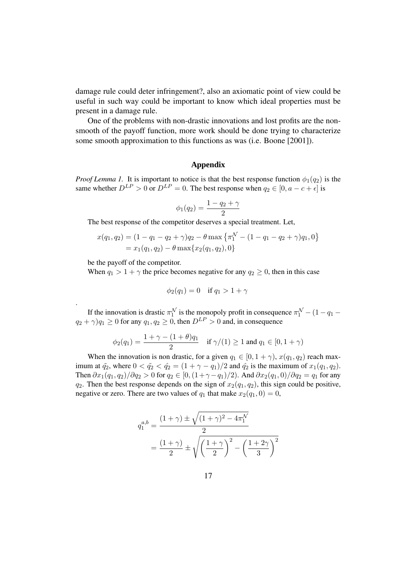damage rule could deter infringement?, also an axiomatic point of view could be useful in such way could be important to know which ideal properties must be present in a damage rule.

One of the problems with non-drastic innovations and lost profits are the nonsmooth of the payoff function, more work should be done trying to characterize some smooth approximation to this functions as was (i.e. Boone [2001]).

#### **Appendix**

*Proof Lemma 1.* It is important to notice is that the best response function  $\phi_1(q_2)$  is the same whether  $D^{LP} > 0$  or  $D^{LP} = 0$ . The best response when  $q_2 \in [0, a - c + \epsilon]$  is

$$
\phi_1(q_2) = \frac{1 - q_2 + \gamma}{2}
$$

The best response of the competitor deserves a special treatment. Let,

$$
x(q_1, q_2) = (1 - q_1 - q_2 + \gamma)q_2 - \theta \max \{\pi_1^{\mathcal{N}} - (1 - q_1 - q_2 + \gamma)q_1, 0\}
$$
  
=  $x_1(q_1, q_2) - \theta \max\{x_2(q_1, q_2), 0\}$ 

be the payoff of the competitor.

.

When  $q_1 > 1 + \gamma$  the price becomes negative for any  $q_2 \ge 0$ , then in this case

$$
\phi_2(q_1) = 0 \quad \text{if } q_1 > 1 + \gamma
$$

If the innovation is drastic  $\pi_1^N$  is the monopoly profit in consequence  $\pi_1^N - (1 - q_1 (q_2 + \gamma)q_1 \ge 0$  for any  $q_1, q_2 \ge 0$ , then  $D^{LP} > 0$  and, in consequence

$$
\phi_2(q_1) = \frac{1 + \gamma - (1 + \theta)q_1}{2}
$$
 if  $\gamma/(1) \ge 1$  and  $q_1 \in [0, 1 + \gamma)$ 

When the innovation is non drastic, for a given  $q_1 \in [0, 1 + \gamma)$ ,  $x(q_1, q_2)$  reach maximum at  $\tilde{q}_2$ , where  $0 < \tilde{q}_2 < \tilde{q}_2 = (1 + \gamma - q_1)/2$  and  $\tilde{q}_2$  is the maximum of  $x_1(q_1, q_2)$ . Then  $\partial x_1(q_1, q_2)/\partial q_2 > 0$  for  $q_2 \in [0, (1 + \gamma - q_1)/2)$ . And  $\partial x_2(q_1, 0)/\partial q_2 = q_1$  for any  $q_2$ . Then the best response depends on the sign of  $x_2(q_1, q_2)$ , this sign could be positive, negative or zero. There are two values of  $q_1$  that make  $x_2(q_1, 0) = 0$ ,

$$
q_1^{a,b} = \frac{(1+\gamma) \pm \sqrt{(1+\gamma)^2 - 4\pi_1^{\mathcal{N}}}}{2}
$$
  
= 
$$
\frac{(1+\gamma)}{2} \pm \sqrt{\left(\frac{1+\gamma}{2}\right)^2 - \left(\frac{1+2\gamma}{3}\right)^2}
$$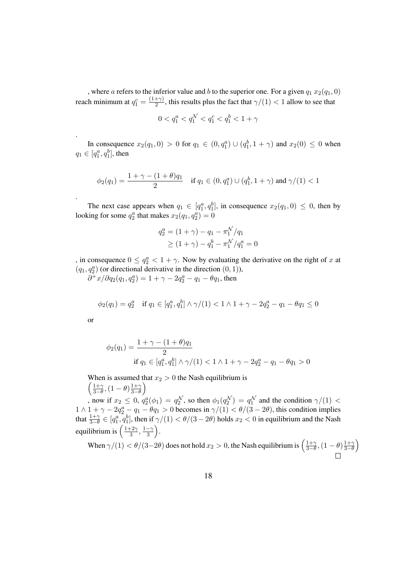, where a refers to the inferior value and b to the superior one. For a given  $q_1 x_2(q_1, 0)$ reach minimum at  $q_1^c = \frac{(1+\gamma)}{2}$  $\frac{1+\gamma}{2}$ , this results plus the fact that  $\gamma/(1) < 1$  allow to see that

$$
0 < q_1^a < q_1^{\mathcal{N}} < q_1^c < q_1^b < 1 + \gamma
$$

In consequence  $x_2(q_1, 0) > 0$  for  $q_1 \in (0, q_1^a) \cup (q_1^b, 1 + \gamma)$  and  $x_2(0) \le 0$  when  $q_1 \in [q_1^a, q_1^b]$ , then

$$
\phi_2(q_1) = \frac{1+\gamma - (1+\theta)q_1}{2} \quad \text{if } q_1 \in (0,q_1^a) \cup (q_1^b, 1+\gamma) \text{ and } \gamma/(1) < 1
$$

The next case appears when  $q_1 \in [q_1^a, q_1^b]$ , in consequence  $x_2(q_1, 0) \leq 0$ , then by looking for some  $q_2^a$  that makes  $x_2(q_1, q_2^a) = 0$ 

$$
q_2^a = (1 + \gamma) - q_1 - \pi_1^{\mathcal{N}}/q_1
$$
  
\n
$$
\geq (1 + \gamma) - q_1^b - \pi_1^{\mathcal{N}}/q_1^a = 0
$$

, in consequence  $0 \le q_2^a < 1 + \gamma$ . Now by evaluating the derivative on the right of x at  $(q_1, q_2^a)$  (or directional derivative in the direction  $(0, 1)$ ),

 $\partial^+ x / \partial q_2(q_1, q_2^a) = 1 + \gamma - 2q_2^a - q_1 - \theta q_1$ , then

$$
\phi_2(q_1) = q_2^a \quad \text{if } q_1 \in [q_1^a, q_1^b] \land \gamma/(1) < 1 \land 1 + \gamma - 2q_2^a - q_1 - \theta q_1 \le 0
$$

or

.

.

$$
\phi_2(q_1) = \frac{1 + \gamma - (1 + \theta)q_1}{2}
$$
  
if  $q_1 \in [q_1^a, q_1^b] \land \gamma/(1) < 1 \land 1 + \gamma - 2q_2^a - q_1 - \theta q_1 > 0$ 

When is assumed that  $x_2 > 0$  the Nash equilibrium is  $\setminus$ 

$$
\left(\frac{1+\gamma}{3-\theta}, (1-\theta)\frac{1+\gamma}{3-\theta}\right)
$$

, now if  $x_2 \leq 0$ ,  $q_2^a(\phi_1) = q_2^{\mathcal{N}}$ , so then  $\phi_1(q_2^{\mathcal{N}}) = q_1^{\mathcal{N}}$  and the condition  $\gamma/(1) <$  $1 \wedge 1 + \gamma - 2q_2^a - q_1 - \theta q_1 > 0$  becomes in  $\gamma/(1) < \theta/(3 - 2\theta)$ , this condition implies that  $\frac{1+\gamma}{3-\theta} \in [q_1^a, q_1^b]$ , then if  $\gamma/(1) < \theta/(3-2\theta)$  holds  $x_2 < 0$  in equilibrium and the Nash equilibrium is  $\left(\frac{1+2\gamma}{3}\right)$  $\frac{+2\gamma}{3}, \frac{1-\gamma}{3}.$ 

When  $\gamma/(1) < \theta/(3-2\theta)$  does not hold  $x_2 > 0$ , the Nash equilibrium is  $\left(\frac{1+\gamma}{3-\theta}\right)$  $\frac{1+\gamma}{3-\theta}$ ,  $(1-\theta)\frac{1+\gamma}{3-\theta}$  $3-\theta$  $\setminus$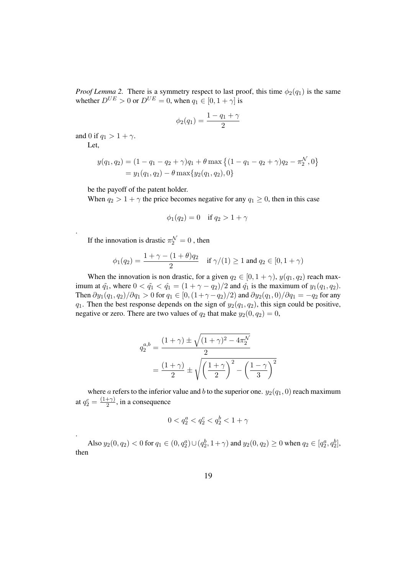*Proof Lemma 2.* There is a symmetry respect to last proof, this time  $\phi_2(q_1)$  is the same whether  $D^{UE} > 0$  or  $D^{UE} = 0$ , when  $q_1 \in [0, 1 + \gamma]$  is

$$
\phi_2(q_1) = \frac{1 - q_1 + \gamma}{2}
$$

and 0 if  $q_1 > 1 + \gamma$ .

Let,

.

.

$$
y(q_1, q_2) = (1 - q_1 - q_2 + \gamma)q_1 + \theta \max\left\{ (1 - q_1 - q_2 + \gamma)q_2 - \pi_2^N, 0 \right\}
$$
  
=  $y_1(q_1, q_2) - \theta \max\{y_2(q_1, q_2), 0\}$ 

be the payoff of the patent holder.

When  $q_2 > 1 + \gamma$  the price becomes negative for any  $q_1 \geq 0$ , then in this case

$$
\phi_1(q_2) = 0 \quad \text{if } q_2 > 1 + \gamma
$$

If the innovation is drastic  $\pi_2^N = 0$ , then

$$
\phi_1(q_2) = \frac{1 + \gamma - (1 + \theta)q_2}{2}
$$
 if  $\gamma/(1) \ge 1$  and  $q_2 \in [0, 1 + \gamma)$ 

When the innovation is non drastic, for a given  $q_2 \in [0, 1 + \gamma)$ ,  $y(q_1, q_2)$  reach maximum at  $\tilde{q}_1$ , where  $0 < \tilde{q}_1 < \hat{q}_1 = (1 + \gamma - q_2)/2$  and  $\hat{q}_1$  is the maximum of  $y_1(q_1, q_2)$ . Then  $\partial y_1(q_1, q_2)/\partial q_1 > 0$  for  $q_1 \in [0, (1 + \gamma - q_2)/2)$  and  $\partial y_2(q_1, 0)/\partial q_1 = -q_2$  for any  $q_1$ . Then the best response depends on the sign of  $y_2(q_1, q_2)$ , this sign could be positive, negative or zero. There are two values of  $q_2$  that make  $y_2(0, q_2) = 0$ ,

$$
q_2^{a,b} = \frac{(1+\gamma) \pm \sqrt{(1+\gamma)^2 - 4\pi_2^{\mathcal{N}}}}{2}
$$
  
= 
$$
\frac{(1+\gamma)}{2} \pm \sqrt{\left(\frac{1+\gamma}{2}\right)^2 - \left(\frac{1-\gamma}{3}\right)^2}
$$

where a refers to the inferior value and b to the superior one.  $y_2(q_1, 0)$  reach maximum at  $q_2^c = \frac{(1+\gamma)}{2}$  $\frac{(+\gamma)}{2}$ , in a consequence

$$
0 < q_2^a < q_2^c < q_2^b < 1 + \gamma
$$

Also  $y_2(0, q_2) < 0$  for  $q_1 \in (0, q_2^a) \cup (q_2^b, 1 + \gamma)$  and  $y_2(0, q_2) \ge 0$  when  $q_2 \in [q_2^a, q_2^b]$ , then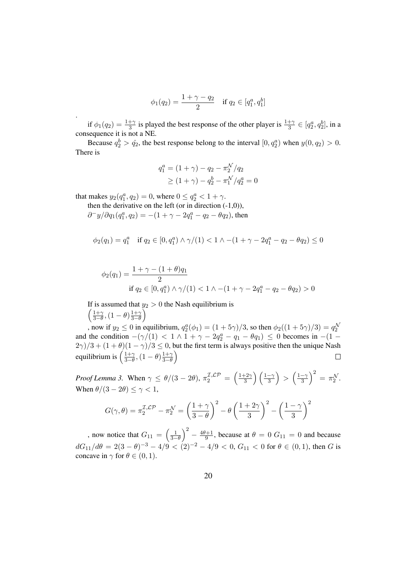$$
\phi_1(q_2) = \frac{1 + \gamma - q_2}{2}
$$
 if  $q_2 \in [q_1^a, q_1^b]$ 

if  $\phi_1(q_2) = \frac{1+\gamma}{3}$  is played the best response of the other player is  $\frac{1+\gamma}{3} \in [q_2^a, q_2^b]$ , in a consequence it is not a NE.

Because  $q_2^b > \hat{q}_2$ , the best response belong to the interval  $[0, q_2^a)$  when  $y(0, q_2) > 0$ . There is

$$
q_1^a = (1 + \gamma) - q_2 - \pi_2^{\mathcal{N}}/q_2
$$
  
\n
$$
\geq (1 + \gamma) - q_2^b - \pi_1^{\mathcal{N}}/q_2^a = 0
$$

that makes  $y_2(q_1^a, q_2) = 0$ , where  $0 \le q_2^a < 1 + \gamma$ .

.

then the derivative on the left (or in direction  $(-1,0)$ ),

$$
\partial^- y/\partial q_1(q_1^a,q_2) = -(1+\gamma-2q_1^a-q_2-\theta q_2), \text{ then }
$$

$$
\phi_2(q_1) = q_1^a \quad \text{if } q_2 \in [0, q_1^a) \land \gamma/(1) < 1 \land -(1 + \gamma - 2q_1^a - q_2 - \theta q_2) \leq 0
$$

$$
\phi_2(q_1) = \frac{1 + \gamma - (1 + \theta)q_1}{2}
$$
  
if  $q_2 \in [0, q_1^a) \land \gamma/(1) < 1 \land -(1 + \gamma - 2q_1^a - q_2 - \theta q_2) > 0$ 

If is assumed that  $y_2 > 0$  the Nash equilibrium is  $\left(1+\gamma\right)$  $\frac{1+\gamma}{3-\theta}$ ,  $(1-\theta)\frac{1+\gamma}{3-\theta}$  $3-\theta$  $\setminus$ 

, now if  $y_2 \le 0$  in equilibrium,  $q_2^a(\phi_1) = (1 + 5\gamma)/3$ , so then  $\phi_2((1 + 5\gamma)/3) = q_2^{\mathcal{N}}$ and the condition  $-(\gamma/(1) < 1 \wedge 1 + \gamma - 2q_2^a - q_1 - \theta q_1) \leq 0$  becomes in  $-(1 (2\gamma)/3 + (1+\theta)(1-\gamma)/3 \leq 0$ , but the first term is always positive then the unique Nash equilibrium is  $\left(\frac{1+\gamma}{3-\theta}\right)$  $\frac{1+\gamma}{3-\theta}$ ,  $(1-\theta)\frac{1+\gamma}{3-\theta}$  $3-\theta$  $\setminus$ 

*Proof Lemma 3.* When  $\gamma \leq \theta/(3 - 2\theta), \pi_2^{\mathcal{I}, \mathcal{LP}} = \left(\frac{1+2\gamma}{3}\right)$  $\left(\frac{1-\gamma}{3}\right)\left(\frac{1-\gamma}{3}\right) > \left(\frac{1-\gamma}{3}\right)^2 = \pi_2^{\mathcal{N}}.$ When  $\theta/(3-2\theta) \leq \gamma < 1$ ,

$$
G(\gamma, \theta) = \pi_2^{\mathcal{I}, \mathcal{LP}} - \pi_2^{\mathcal{N}} = \left(\frac{1+\gamma}{3-\theta}\right)^2 - \theta \left(\frac{1+2\gamma}{3}\right)^2 - \left(\frac{1-\gamma}{3}\right)^2
$$

, now notice that  $G_{11} = \left(\frac{1}{3-\theta}\right)$  $\bigg)^2 - \frac{4\theta + 1}{9}$  $\frac{q+1}{9}$ , because at  $\theta = 0$   $G_{11} = 0$  and because  $dG_{11}/d\theta = 2(3-\theta)^{-3} - 4/9 < (2)^{-2} - 4/9 < 0, G_{11} < 0$  for  $\theta \in (0,1)$ , then G is concave in  $\gamma$  for  $\theta \in (0, 1)$ .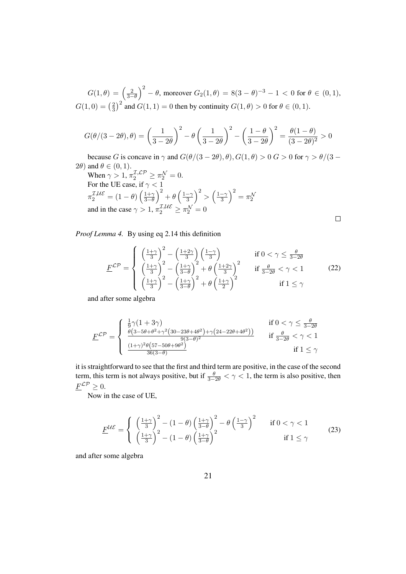$G(1,\theta) = \left(\frac{2}{3-\theta}\right)$  $\int_0^2$  − θ, moreover  $G_2(1, θ) = 8(3 − θ)^{-3} - 1 < 0$  for  $θ \in (0, 1)$ ,  $G(1,0) = \left(\frac{2}{3}\right)$  $\frac{2}{3}$  and  $G(1, 1) = 0$  then by continuity  $G(1, \theta) > 0$  for  $\theta \in (0, 1)$ .

$$
G(\theta/(3-2\theta), \theta) = \left(\frac{1}{3-2\theta}\right)^2 - \theta \left(\frac{1}{3-2\theta}\right)^2 - \left(\frac{1-\theta}{3-2\theta}\right)^2 = \frac{\theta(1-\theta)}{(3-2\theta)^2} > 0
$$

because G is concave in  $\gamma$  and  $G(\theta/(3-2\theta), \theta), G(1, \theta) > 0$  G  $> 0$  for  $\gamma > \theta/(3 - \theta)$  $2\theta$ ) and  $\theta \in (0,1)$ .

When 
$$
\gamma > 1
$$
,  $\pi_2^{\mathcal{I}, \mathcal{LP}} \ge \pi_2^{\mathcal{N}} = 0$ .  
For the UE case, if  $\gamma < 1$   
 $\pi_2^{\mathcal{I}, \mathcal{UE}} = (1 - \theta) \left( \frac{1 + \gamma}{3 - \theta} \right)^2 + \theta \left( \frac{1 - \gamma}{3} \right)^2 > \left( \frac{1 - \gamma}{3} \right)^2 = \pi_2^{\mathcal{N}}$   
and in the case  $\gamma > 1$ ,  $\pi_2^{\mathcal{I}, \mathcal{UE}} \ge \pi_2^{\mathcal{N}} = 0$ 

*Proof Lemma 4.* By using eq 2.14 this definition

$$
\underline{F}^{\mathcal{LP}} = \begin{cases}\n\left(\frac{1+\gamma}{3}\right)^2 - \left(\frac{1+2\gamma}{3}\right) \left(\frac{1-\gamma}{3}\right) & \text{if } 0 < \gamma \le \frac{\theta}{3-2\theta} \\
\left(\frac{1+\gamma}{3}\right)^2 - \left(\frac{1+\gamma}{3-\theta}\right)^2 + \theta \left(\frac{1+2\gamma}{3}\right)^2 & \text{if } \frac{\theta}{3-2\theta} < \gamma < 1 \\
\left(\frac{1+\gamma}{3}\right)^2 - \left(\frac{1+\gamma}{3-\theta}\right)^2 + \theta \left(\frac{1+\gamma}{2}\right)^2 & \text{if } 1 \le \gamma\n\end{cases}
$$
\n(22)

and after some algebra

$$
\underline{F}^{\mathcal{LP}} = \begin{cases}\n\frac{1}{9}\gamma(1+3\gamma) & \text{if } 0 < \gamma \le \frac{\theta}{3-2\theta} \\
\frac{\theta(3-5\theta+\theta^2+\gamma^2(30-23\theta+4\theta^2)+\gamma(24-22\theta+4\theta^2))}{9(3-\theta)^2} & \text{if } \frac{\theta}{3-2\theta} < \gamma < 1 \\
\frac{(1+\gamma)^2\theta(57-50\theta+9\theta^2)}{36(3-\theta)} & \text{if } 1 \le \gamma\n\end{cases}
$$

it is straightforward to see that the first and third term are positive, in the case of the second term, this term is not always positive, but if  $\frac{\theta}{3-2\theta} < \gamma < 1$ , the term is also positive, then  $\underline{F}^{\mathcal{LP}} \geq 0.$ 

Now in the case of UE,

$$
\underline{F}^{\mathcal{UE}} = \begin{cases} \left(\frac{1+\gamma}{3}\right)^2 - (1-\theta)\left(\frac{1+\gamma}{3-\theta}\right)^2 - \theta\left(\frac{1-\gamma}{3}\right)^2 & \text{if } 0 < \gamma < 1\\ \left(\frac{1+\gamma}{3}\right)^2 - (1-\theta)\left(\frac{1+\gamma}{3-\theta}\right)^2 & \text{if } 1 \leq \gamma \end{cases} \tag{23}
$$

and after some algebra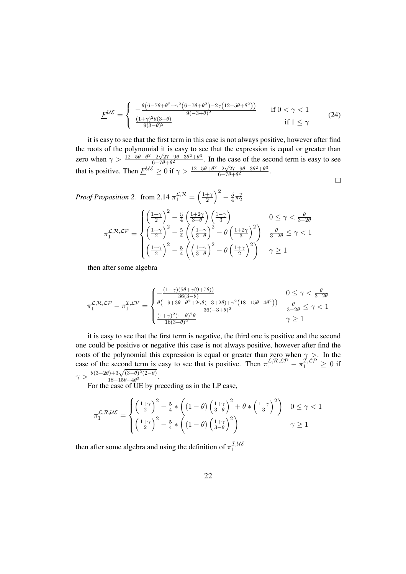$$
\underline{F}^{\mathcal{UE}} = \begin{cases}\n-\frac{\theta(6 - 7\theta + \theta^2 + \gamma^2(6 - 7\theta + \theta^2) - 2\gamma(12 - 5\theta + \theta^2))}{9(-3 + \theta)^2} & \text{if } 0 < \gamma < 1 \\
\frac{(1 + \gamma)^2 \theta(3 + \theta)}{9(3 - \theta)^2} & \text{if } 1 \le \gamma\n\end{cases}
$$
\n(24)

it is easy to see that the first term in this case is not always positive, however after find the roots of the polynomial it is easy to see that the expression is equal or greater than zero when  $\gamma > \frac{12 - 5\theta + \theta^2 - 2\sqrt{27 - 9\theta - 3\theta^2 + \theta^3}}{6 - 7\theta + \theta^2}$  $\frac{-2\sqrt{27-9\theta-3\theta^2+\theta^3}}{6-7\theta+\theta^2}$ . In the case of the second term is easy to see that is positive. Then  $\underline{F}^{\mathcal{U}\mathcal{E}} \ge 0$  if  $\gamma > \frac{12 - 5\theta + \theta^2 - 2\sqrt{27 - 9\theta - 3\theta^2 + \theta^3}}{6 - 7\theta + \theta^2}$  $\frac{-2\sqrt{27-9\theta-3\theta^2+\theta^3}}{6-7\theta+\theta^2}.$  $\Box$ 

*Proof Proposition 2.* from 2.14  $\pi_1^{\mathcal{L}, \mathcal{R}} = \left(\frac{1+\gamma}{2}\right)$  $\frac{+\gamma}{2}$  $\bigg)^2 - \frac{5}{4}$  $rac{5}{4}\pi\frac{1}{2}$ 

$$
\pi_1^{\mathcal{L},\mathcal{R},\mathcal{LP}} = \begin{cases}\n\left(\frac{1+\gamma}{2}\right)^2 - \frac{5}{4}\left(\frac{1+2\gamma}{3-\theta}\right)\left(\frac{1-\gamma}{3}\right) & 0 \le \gamma < \frac{\theta}{3-2\theta} \\
\left(\frac{1+\gamma}{2}\right)^2 - \frac{5}{4}\left(\left(\frac{1+\gamma}{3-\theta}\right)^2 - \theta\left(\frac{1+2\gamma}{3}\right)^2\right) & \frac{\theta}{3-2\theta} \le \gamma < 1 \\
\left(\frac{1+\gamma}{2}\right)^2 - \frac{5}{4}\left(\left(\frac{1+\gamma}{3-\theta}\right)^2 - \theta\left(\frac{1+\gamma}{2}\right)^2\right) & \gamma \ge 1\n\end{cases}
$$

then after some algebra

$$
\pi_1^{\mathcal{L},\mathcal{R},\mathcal{LP}}-\pi_1^{\mathcal{I},\mathcal{LP}}=\begin{cases}-\frac{(1-\gamma)(5\theta+\gamma(9+7\theta))}{36(3-\theta)}&0\leq\gamma<\frac{\theta}{3-2\theta}\\ \frac{\theta\left(-9+3\theta+\theta^2+2\gamma\theta(-3+2\theta)+\gamma^2\left(18-15\theta+4\theta^2\right)\right)}{36(-3+\theta)^2}&\frac{\theta}{3-2\theta}\leq\gamma<1\\ \frac{(1+\gamma)^2(1-\theta)^2\theta}{16(3-\theta)^2}&\gamma\geq1\end{cases}
$$

it is easy to see that the first term is negative, the third one is positive and the second one could be positive or negative this case is not always positive, however after find the roots of the polynomial this expression is equal or greater than zero when  $\gamma >$ . In the case of the second term is easy to see that is positive. Then  $\pi_1^{\mathcal{L},\mathcal{R},\mathcal{L}\mathcal{P}} - \pi_1^{\mathcal{I},\mathcal{L}\mathcal{P}} \geq 0$  if  $\gamma > \frac{\theta(3-2\theta)+3\sqrt{(3-\theta)^2(2-\theta)}}{18-15\theta+4\theta^2}$  $\frac{18-15\theta+4\theta^2}{18-15\theta+4\theta^2}$ .

For the case of UE by preceding as in the LP case,

$$
\pi_1^{\mathcal{L},\mathcal{R},\mathcal{UE}} = \begin{cases} \left(\frac{1+\gamma}{2}\right)^2 - \frac{5}{4} * \left( (1-\theta) \left(\frac{1+\gamma}{3-\theta}\right)^2 + \theta * \left(\frac{1-\gamma}{3}\right)^2 \right) & 0 \le \gamma < 1\\ \left(\frac{1+\gamma}{2}\right)^2 - \frac{5}{4} * \left( (1-\theta) \left(\frac{1+\gamma}{3-\theta}\right)^2 \right) & \gamma \ge 1 \end{cases}
$$

then after some algebra and using the definition of  $\pi_1^{\mathcal{I},\mathcal{UE}}$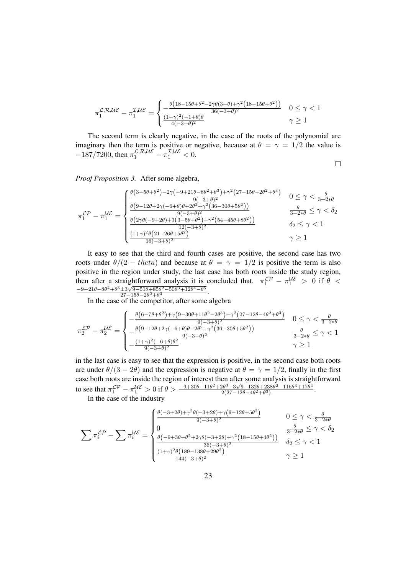$$
\pi_1^{\mathcal{L},\mathcal{R},\mathcal{UE}}-\pi_1^{\mathcal{I},\mathcal{UE}}=\begin{cases}-\frac{\theta\big(18-15\theta+\theta^2-2\gamma\theta(3+\theta)+\gamma^2\big(18-15\theta+\theta^2\big)\big)}{36(-3+\theta)^2}&0\leq\gamma<1\\ \frac{(1+\gamma)^2(-1+\theta)\theta}{4(-3+\theta)^2}&\gamma\geq1\end{cases}
$$

The second term is clearly negative, in the case of the roots of the polynomial are imaginary then the term is positive or negative, because at  $\theta = \gamma = 1/2$  the value is  $-187/7200$ , then  $\pi_1^{\mathcal{L},\mathcal{R},\mathcal{UE}} - \pi_1^{\mathcal{I},\mathcal{UE}} < 0$ .

 $\Box$ 

*Proof Proposition 3.* After some algebra,

$$
\pi_1^{\mathcal{LP}} - \pi_1^{\mathcal{UE}} = \begin{cases} \frac{\theta(3 - 5\theta + \theta^2) - 2\gamma(-9 + 21\theta - 8\theta^2 + \theta^3) + \gamma^2(27 - 15\theta - 2\theta^2 + \theta^3)}{9(-3 + \theta)^2} & 0 \le \gamma < \frac{\theta}{3 - 2\ast\theta} \\ \frac{\theta(9 - 12\theta + 2\gamma(-6 + \theta)\theta + 2\theta^2 + \gamma^2(36 - 30\theta + 5\theta^2))}{9(-3 + \theta)^2} & \frac{\theta}{3 - 2\ast\theta} \le \gamma < \delta_2 \\ \frac{\theta(2\gamma\theta(-9 + 2\theta) + 3(3 - 5\theta + \theta^2) + \gamma^2(54 - 45\theta + 8\theta^2))}{12(-3 + \theta)^2} & \delta_2 \le \gamma < 1 \\ \frac{(1 + \gamma)^2 \theta(21 - 26\theta + 5\theta^2)}{16(-3 + \theta)^2} & \gamma \ge 1 \end{cases}
$$

It easy to see that the third and fourth cases are positive, the second case has two roots under  $\theta/(2 - theta)$  and because at  $\theta = \gamma = 1/2$  is positive the term is also positive in the region under study, the last case has both roots inside the study region, then after a straightforward analysis it is concluded that.  $\pi_1^{LP} - \pi_1^{UE} > 0$  if  $\theta <$  $-9+21\theta-8\theta^2+\theta^3+3\sqrt{9-51\theta+85\theta^2-50\theta^3+12\theta^4-\theta^5}$  $\frac{\pm 3\sqrt{9}-51\theta+85\theta^2-50\theta^3+12\theta^4-\theta^3}{27-15\theta-2\theta^2+\theta^3}.$ 

In the case of the competitor, after some algebra

$$
\pi_2^{\mathcal{LP}} - \pi_2^{\mathcal{UE}} = \begin{cases}\n-\frac{\theta(6 - 7\theta + \theta^2) + \gamma(9 - 30\theta + 11\theta^2 - 2\theta^3) + \gamma^2(27 - 12\theta - 4\theta^2 + \theta^3)}{9(-3 + \theta)^2} & 0 \le \gamma < \frac{\theta}{3 - 2*\theta} \\
-\frac{\theta(9 - 12\theta + 2\gamma(-6 + \theta)\theta + 2\theta^2 + \gamma^2(36 - 30\theta + 5\theta^2))}{9(-3 + \theta)^2} & \frac{\theta}{3 - 2*\theta} \le \gamma < 1 \\
-\frac{(1 + \gamma)^2(-6 + \theta)\theta^2}{9(-3 + \theta)^2} & \gamma \ge 1\n\end{cases}
$$

in the last case is easy to see that the expression is positive, in the second case both roots are under  $\theta/(3 - 2\theta)$  and the expression is negative at  $\theta = \gamma = 1/2$ , finally in the first case both roots are inside the region of interest then after some analysis is straightforward to see that  $\pi_1^{\mathcal{LP}} - \pi_1^{\mathcal{UE}} > 0$  if  $\theta > \frac{-9 + 30\theta - 11\theta^2 + 2\theta^3 - 3\sqrt{9 - 132\theta + 238\theta^2 - 116\theta^3 + 17\theta^4}}{2(27 - 12\theta - 4\theta^2 + \theta^3)}$  $\frac{2\theta^9 - 3\sqrt{9} - 132\theta + 238\theta^2 - 116\theta^3 + 17\theta^4}{2(27 - 12\theta - 4\theta^2 + \theta^3)}.$ 

In the case of the industry

$$
\sum \pi_i^{\mathcal{LP}} - \sum \pi_i^{\mathcal{UE}} = \begin{cases} \frac{\theta(-3+2\theta) + \gamma^2 \theta(-3+2\theta) + \gamma \left(9-12\theta+5\theta^2\right)}{9(-3+\theta)^2} & 0 \le \gamma < \frac{\theta}{3-2*\theta} \\ 0 & \frac{\theta}{3-2*\theta} \le \gamma < \delta_2 \\ \frac{\theta(-9+3\theta+\theta^2+2\gamma\theta(-3+2\theta) + \gamma^2 \left(18-15\theta+4\theta^2\right))}{36(-3+\theta)^2} & \delta_2 \le \gamma < 1 \\ \frac{(1+\gamma)^2 \theta\left(189-138\theta+29\theta^2\right)}{144(-3+\theta)^2} & \gamma \ge 1 \end{cases}
$$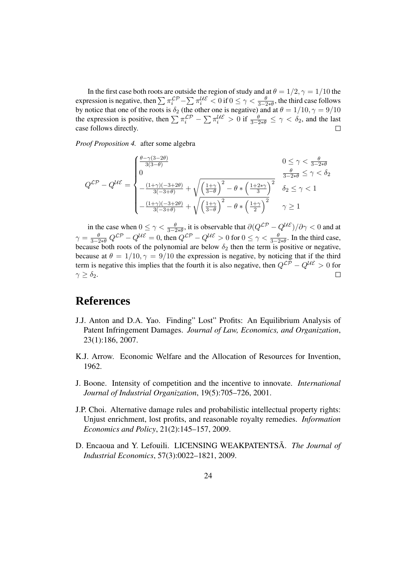In the first case both roots are outside the region of study and at  $\theta = 1/2, \gamma = 1/10$  the expression is negative, then  $\sum \pi_i^{LP} - \sum \pi_i^{UE} < 0$  if  $0 \le \gamma < \frac{\theta}{3-2*\theta}$ , the third case follows by notice that one of the roots is  $\delta_2$  (the other one is negative) and at  $\theta = 1/10, \gamma = 9/10$ the expression is positive, then  $\sum \pi_i^{LP} - \sum \pi_i^{UE} > 0$  if  $\frac{\theta}{3-2*\theta} \le \gamma < \delta_2$ , and the last case follows directly.

*Proof Proposition 4.* after some algebra

$$
Q^{\mathcal{LP}} - Q^{\mathcal{UE}} = \begin{cases} \frac{\theta - \gamma(3-2\theta)}{3(3-\theta)} & 0 \le \gamma < \frac{\theta}{3-2\ast\theta} \\ 0 & \frac{(1+\gamma)(-3+2\theta)}{3(-3+\theta)} + \sqrt{\left(\frac{1+\gamma}{3-\theta}\right)^2 - \theta \ast \left(\frac{1+2\ast\gamma}{3}\right)^2} & \frac{\theta}{3-2\ast\theta} \le \gamma < \delta_2 \\ -\frac{(1+\gamma)(-3+2\theta)}{3(-3+\theta)} + \sqrt{\left(\frac{1+\gamma}{3-\theta}\right)^2 - \theta \ast \left(\frac{1+\gamma}{2}\right)^2} & \gamma \ge 1 \end{cases}
$$

in the case when  $0 \le \gamma < \frac{\theta}{3-2*\theta}$ , it is observable that  $\partial (Q^{\mathcal{LP}} - Q^{\mathcal{UE}})/\partial \gamma < 0$  and at  $\gamma = \frac{\theta}{3-2* \theta} Q^{\mathcal{LP}} - Q^{\mathcal{UE}} = 0$ , then  $Q^{\mathcal{LP}} - Q^{\mathcal{UE}} > 0$  for  $0 \leq \gamma < \frac{\theta}{3-2* \theta}$ . In the third case, because both roots of the polynomial are below  $\delta_2$  then the term is positive or negative, because at  $\theta = 1/10, \gamma = 9/10$  the expression is negative, by noticing that if the third term is negative this implies that the fourth it is also negative, then  $Q^{\mathcal{L}\widetilde{\mathcal{P}}} - Q^{\mathcal{U}\mathcal{E}} > 0$  for  $\gamma > \delta_2$ .  $\gamma \geq \delta_2$ .

### **References**

- J.J. Anton and D.A. Yao. Finding" Lost" Profits: An Equilibrium Analysis of Patent Infringement Damages. *Journal of Law, Economics, and Organization*, 23(1):186, 2007.
- K.J. Arrow. Economic Welfare and the Allocation of Resources for Invention, 1962.
- J. Boone. Intensity of competition and the incentive to innovate. *International Journal of Industrial Organization*, 19(5):705–726, 2001.
- J.P. Choi. Alternative damage rules and probabilistic intellectual property rights: Unjust enrichment, lost profits, and reasonable royalty remedies. *Information Economics and Policy*, 21(2):145–157, 2009.
- D. Encaoua and Y. Lefouili. LICENSING WEAKPATENTSA. The Journal of *Industrial Economics*, 57(3):0022–1821, 2009.